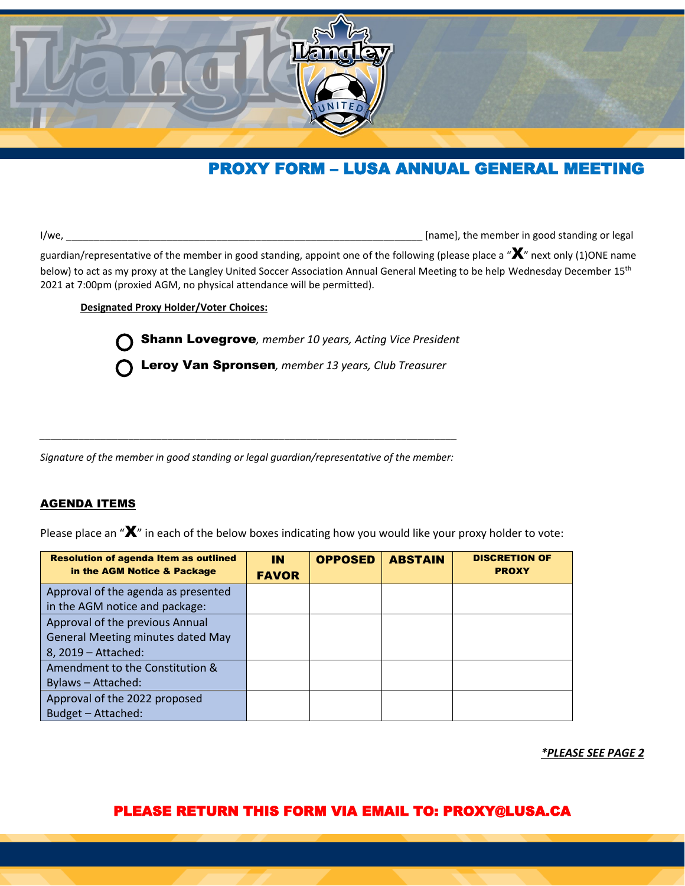

# PROXY FORM – LUSA ANNUAL GENERAL MEETING

I/we, \_\_\_\_\_\_\_\_\_\_\_\_\_\_\_\_\_\_\_\_\_\_\_\_\_\_\_\_\_\_\_\_\_\_\_\_\_\_\_\_\_\_\_\_\_\_\_\_\_\_\_\_\_\_\_\_\_\_\_\_\_\_\_\_ [name], the member in good standing or legal

guardian/representative of the member in good standing, appoint one of the following (please place a " $\bm{X}$ " next only (1)ONE name below) to act as my proxy at the Langley United Soccer Association Annual General Meeting to be help Wednesday December 15<sup>th</sup> 2021 at 7:00pm (proxied AGM, no physical attendance will be permitted).

**Designated Proxy Holder/Voter Choices:**

Shann Lovegrove*, member 10 years, Acting Vice President*

Leroy Van Spronsen*, member 13 years, Club Treasurer*

*\_\_\_\_\_\_\_\_\_\_\_\_\_\_\_\_\_\_\_\_\_\_\_\_\_\_\_\_\_\_\_\_\_\_\_\_\_\_\_\_\_\_\_\_\_\_\_\_\_\_\_\_\_\_\_\_\_\_\_\_\_\_\_\_\_\_\_\_\_\_\_\_\_\_\_ Signature of the member in good standing or legal guardian/representative of the member:* 

#### AGENDA ITEMS

Please place an " $\mathbf{X}$ " in each of the below boxes indicating how you would like your proxy holder to vote:

| <b>Resolution of agenda Item as outlined</b><br>in the AGM Notice & Package | IN.<br><b>FAVOR</b> | <b>OPPOSED</b> | <b>ABSTAIN</b> | <b>DISCRETION OF</b><br><b>PROXY</b> |
|-----------------------------------------------------------------------------|---------------------|----------------|----------------|--------------------------------------|
| Approval of the agenda as presented                                         |                     |                |                |                                      |
| in the AGM notice and package:                                              |                     |                |                |                                      |
| Approval of the previous Annual                                             |                     |                |                |                                      |
| <b>General Meeting minutes dated May</b>                                    |                     |                |                |                                      |
| 8, 2019 - Attached:                                                         |                     |                |                |                                      |
| Amendment to the Constitution &                                             |                     |                |                |                                      |
| Bylaws - Attached:                                                          |                     |                |                |                                      |
| Approval of the 2022 proposed                                               |                     |                |                |                                      |
| Budget - Attached:                                                          |                     |                |                |                                      |

*\*PLEASE SEE PAGE 2*

### PLEASE RETURN THIS FORM VIA EMAIL TO: PROXY@LUSA.CA